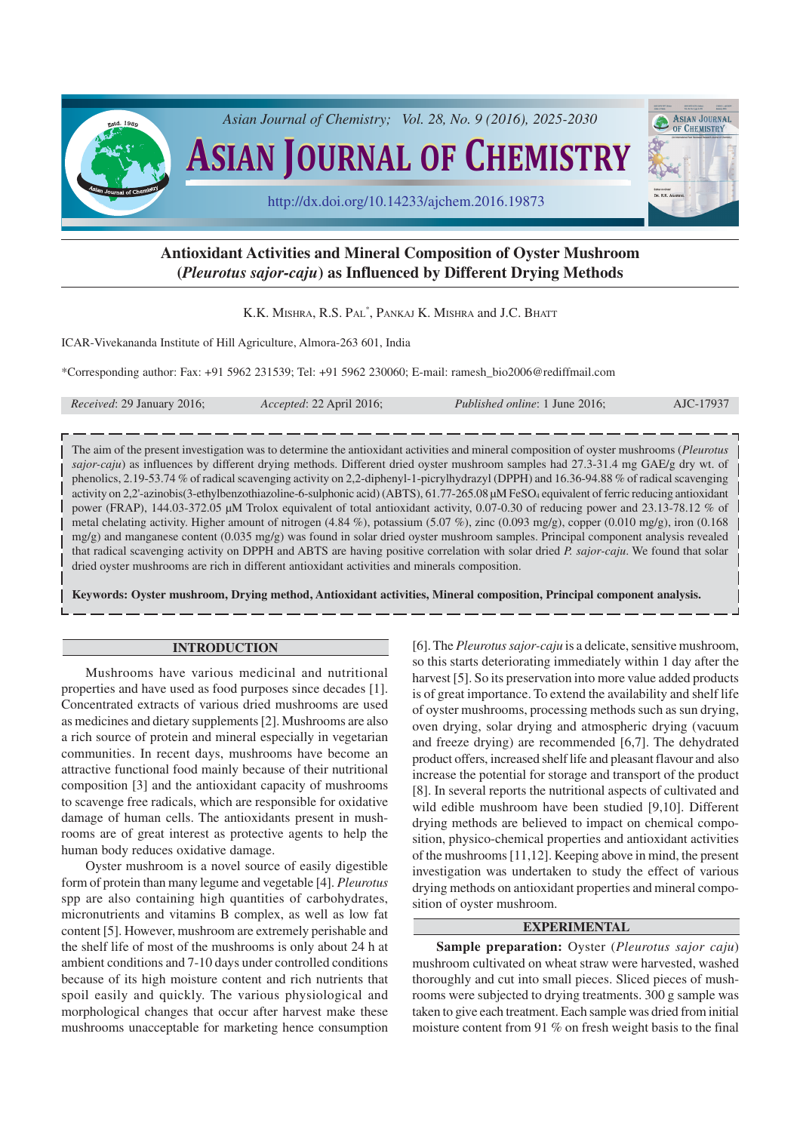

# **Antioxidant Activities and Mineral Composition of Oyster Mushroom (***Pleurotus sajor-caju***) as Influenced by Different Drying Methods**

K.K. MISHRA, R.S. PAL\* , PANKAJ K. MISHRA and J.C. BHATT

ICAR-Vivekananda Institute of Hill Agriculture, Almora-263 601, India

\*Corresponding author: Fax: +91 5962 231539; Tel: +91 5962 230060; E-mail: ramesh\_bio2006@rediffmail.com

| <i>Received:</i> 29 January 2016; | Accepted: 22 April 2016; | <i>Published online: 1 June 2016;</i> | AJC-17937 |
|-----------------------------------|--------------------------|---------------------------------------|-----------|
|-----------------------------------|--------------------------|---------------------------------------|-----------|

The aim of the present investigation was to determine the antioxidant activities and mineral composition of oyster mushrooms (*Pleurotus sajor-caju*) as influences by different drying methods. Different dried oyster mushroom samples had 27.3-31.4 mg GAE/g dry wt. of phenolics, 2.19-53.74 % of radical scavenging activity on 2,2-diphenyl-1-picrylhydrazyl (DPPH) and 16.36-94.88 % of radical scavenging activity on 2,2'-azinobis(3-ethylbenzothiazoline-6-sulphonic acid) (ABTS), 61.77-265.08 µM FeSO<sub>4</sub> equivalent of ferric reducing antioxidant power (FRAP), 144.03-372.05 µM Trolox equivalent of total antioxidant activity, 0.07-0.30 of reducing power and 23.13-78.12 % of metal chelating activity. Higher amount of nitrogen (4.84 %), potassium (5.07 %), zinc (0.093 mg/g), copper (0.010 mg/g), iron (0.168 mg/g) and manganese content (0.035 mg/g) was found in solar dried oyster mushroom samples. Principal component analysis revealed that radical scavenging activity on DPPH and ABTS are having positive correlation with solar dried *P. sajor-caju*. We found that solar dried oyster mushrooms are rich in different antioxidant activities and minerals composition.

**Keywords: Oyster mushroom, Drying method, Antioxidant activities, Mineral composition, Principal component analysis.**

#### **INTRODUCTION**

Mushrooms have various medicinal and nutritional properties and have used as food purposes since decades [1]. Concentrated extracts of various dried mushrooms are used as medicines and dietary supplements [2]. Mushrooms are also a rich source of protein and mineral especially in vegetarian communities. In recent days, mushrooms have become an attractive functional food mainly because of their nutritional composition [3] and the antioxidant capacity of mushrooms to scavenge free radicals, which are responsible for oxidative damage of human cells. The antioxidants present in mushrooms are of great interest as protective agents to help the human body reduces oxidative damage.

Oyster mushroom is a novel source of easily digestible form of protein than many legume and vegetable [4]. *Pleurotus* spp are also containing high quantities of carbohydrates, micronutrients and vitamins B complex, as well as low fat content [5]. However, mushroom are extremely perishable and the shelf life of most of the mushrooms is only about 24 h at ambient conditions and 7-10 days under controlled conditions because of its high moisture content and rich nutrients that spoil easily and quickly. The various physiological and morphological changes that occur after harvest make these mushrooms unacceptable for marketing hence consumption [6]. The *Pleurotus sajor-caju* is a delicate, sensitive mushroom, so this starts deteriorating immediately within 1 day after the harvest [5]. So its preservation into more value added products is of great importance. To extend the availability and shelf life of oyster mushrooms, processing methods such as sun drying, oven drying, solar drying and atmospheric drying (vacuum and freeze drying) are recommended [6,7]. The dehydrated product offers, increased shelf life and pleasant flavour and also increase the potential for storage and transport of the product [8]. In several reports the nutritional aspects of cultivated and wild edible mushroom have been studied [9,10]. Different drying methods are believed to impact on chemical composition, physico-chemical properties and antioxidant activities of the mushrooms [11,12]. Keeping above in mind, the present investigation was undertaken to study the effect of various drying methods on antioxidant properties and mineral composition of oyster mushroom.

## **EXPERIMENTAL**

**Sample preparation:** Oyster (*Pleurotus sajor caju*) mushroom cultivated on wheat straw were harvested, washed thoroughly and cut into small pieces. Sliced pieces of mushrooms were subjected to drying treatments. 300 g sample was taken to give each treatment. Each sample was dried from initial moisture content from 91 % on fresh weight basis to the final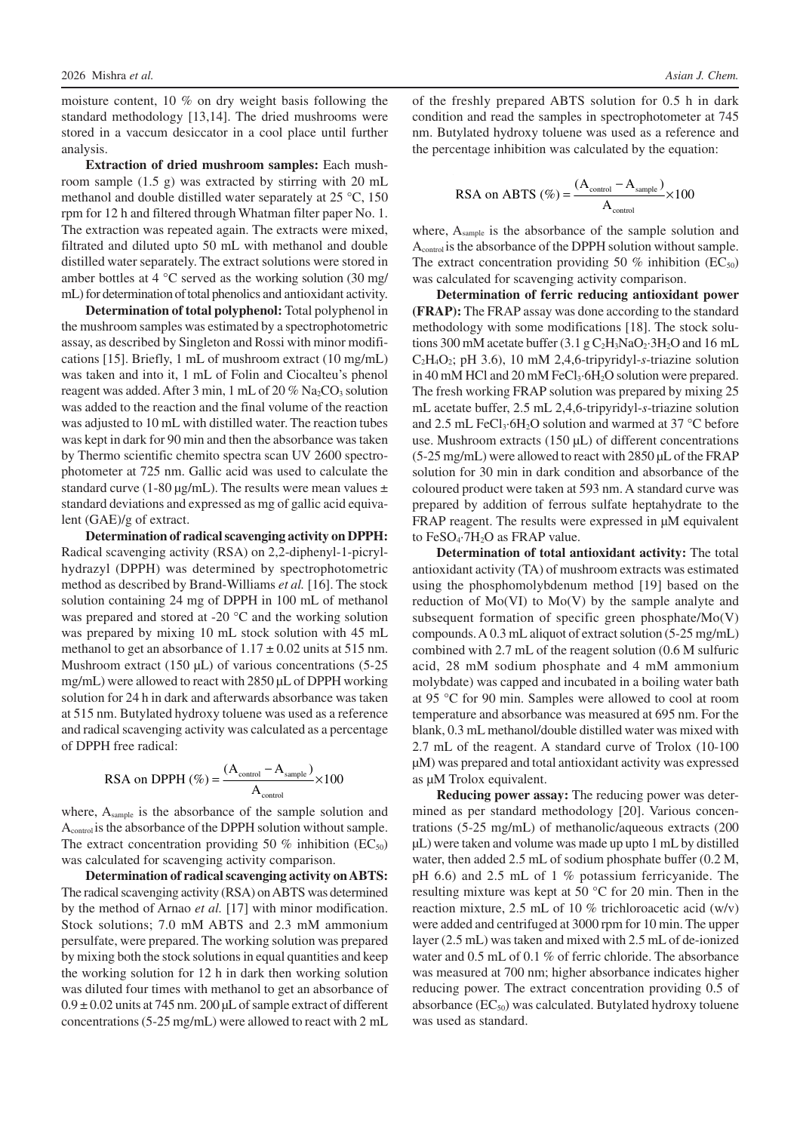moisture content, 10 % on dry weight basis following the standard methodology [13,14]. The dried mushrooms were stored in a vaccum desiccator in a cool place until further analysis.

**Extraction of dried mushroom samples:** Each mushroom sample (1.5 g) was extracted by stirring with 20 mL methanol and double distilled water separately at 25 °C, 150 rpm for 12 h and filtered through Whatman filter paper No. 1. The extraction was repeated again. The extracts were mixed, filtrated and diluted upto 50 mL with methanol and double distilled water separately. The extract solutions were stored in amber bottles at 4 °C served as the working solution (30 mg/ mL) for determination of total phenolics and antioxidant activity.

**Determination of total polyphenol:** Total polyphenol in the mushroom samples was estimated by a spectrophotometric assay, as described by Singleton and Rossi with minor modifications [15]. Briefly, 1 mL of mushroom extract (10 mg/mL) was taken and into it, 1 mL of Folin and Ciocalteu's phenol reagent was added. After 3 min, 1 mL of 20 %  $Na<sub>2</sub>CO<sub>3</sub>$  solution was added to the reaction and the final volume of the reaction was adjusted to 10 mL with distilled water. The reaction tubes was kept in dark for 90 min and then the absorbance was taken by Thermo scientific chemito spectra scan UV 2600 spectrophotometer at 725 nm. Gallic acid was used to calculate the standard curve (1-80  $\mu$ g/mL). The results were mean values  $\pm$ standard deviations and expressed as mg of gallic acid equivalent (GAE)/g of extract.

**Determination of radical scavenging activity on DPPH:** Radical scavenging activity (RSA) on 2,2-diphenyl-1-picrylhydrazyl (DPPH) was determined by spectrophotometric method as described by Brand-Williams *et al.* [16]. The stock solution containing 24 mg of DPPH in 100 mL of methanol was prepared and stored at -20 °C and the working solution was prepared by mixing 10 mL stock solution with 45 mL methanol to get an absorbance of  $1.17 \pm 0.02$  units at 515 nm. Mushroom extract (150 µL) of various concentrations (5-25 mg/mL) were allowed to react with 2850 µL of DPPH working solution for 24 h in dark and afterwards absorbance was taken at 515 nm. Butylated hydroxy toluene was used as a reference and radical scavenging activity was calculated as a percentage of DPPH free radical:

RSA on DPPH 
$$
(\%) = \frac{(A_{\text{control}} - A_{\text{sample}})}{A_{\text{control}}} \times 100
$$

where, Asample is the absorbance of the sample solution and Acontrol is the absorbance of the DPPH solution without sample. The extract concentration providing 50 % inhibition  $(EC_{50})$ was calculated for scavenging activity comparison.

**Determination of radical scavenging activity on ABTS:** The radical scavenging activity (RSA) on ABTS was determined by the method of Arnao *et al.* [17] with minor modification. Stock solutions; 7.0 mM ABTS and 2.3 mM ammonium persulfate, were prepared. The working solution was prepared by mixing both the stock solutions in equal quantities and keep the working solution for 12 h in dark then working solution was diluted four times with methanol to get an absorbance of  $0.9 \pm 0.02$  units at 745 nm. 200 µL of sample extract of different concentrations (5-25 mg/mL) were allowed to react with 2 mL

of the freshly prepared ABTS solution for 0.5 h in dark condition and read the samples in spectrophotometer at 745 nm. Butylated hydroxy toluene was used as a reference and the percentage inhibition was calculated by the equation:

RSA on ABTS (
$$
\%
$$
) =  $\frac{(A_{\text{control}} - A_{\text{sample}})}{A_{\text{control}}}$  × 100

where, A<sub>sample</sub> is the absorbance of the sample solution and Acontrol is the absorbance of the DPPH solution without sample. The extract concentration providing 50 % inhibition  $(EC_{50})$ was calculated for scavenging activity comparison.

**Determination of ferric reducing antioxidant power (FRAP):** The FRAP assay was done according to the standard methodology with some modifications [18]. The stock solutions 300 mM acetate buffer (3.1 g  $C_2H_3NaO_2·3H_2O$  and 16 mL C2H4O2; pH 3.6), 10 mM 2,4,6-tripyridyl-*s*-triazine solution in 40 mM HCl and 20 mM FeCl<sub>3</sub> $\cdot$ 6H<sub>2</sub>O solution were prepared. The fresh working FRAP solution was prepared by mixing 25 mL acetate buffer, 2.5 mL 2,4,6-tripyridyl-*s*-triazine solution and 2.5 mL FeCl<sub>3</sub>·6H<sub>2</sub>O solution and warmed at 37  $^{\circ}$ C before use. Mushroom extracts (150 µL) of different concentrations (5-25 mg/mL) were allowed to react with 2850 µL of the FRAP solution for 30 min in dark condition and absorbance of the coloured product were taken at 593 nm. A standard curve was prepared by addition of ferrous sulfate heptahydrate to the FRAP reagent. The results were expressed in µM equivalent to  $FeSO<sub>4</sub>·7H<sub>2</sub>O$  as  $FRAP$  value.

**Determination of total antioxidant activity:** The total antioxidant activity (TA) of mushroom extracts was estimated using the phosphomolybdenum method [19] based on the reduction of Mo(VI) to Mo(V) by the sample analyte and subsequent formation of specific green phosphate/Mo(V) compounds. A 0.3 mL aliquot of extract solution (5-25 mg/mL) combined with 2.7 mL of the reagent solution (0.6 M sulfuric acid, 28 mM sodium phosphate and 4 mM ammonium molybdate) was capped and incubated in a boiling water bath at 95 °C for 90 min. Samples were allowed to cool at room temperature and absorbance was measured at 695 nm. For the blank, 0.3 mL methanol/double distilled water was mixed with 2.7 mL of the reagent. A standard curve of Trolox (10-100 µM) was prepared and total antioxidant activity was expressed as µM Trolox equivalent.

**Reducing power assay:** The reducing power was determined as per standard methodology [20]. Various concentrations (5-25 mg/mL) of methanolic/aqueous extracts (200 µL) were taken and volume was made up upto 1 mL by distilled water, then added 2.5 mL of sodium phosphate buffer (0.2 M, pH 6.6) and 2.5 mL of 1 % potassium ferricyanide. The resulting mixture was kept at 50 °C for 20 min. Then in the reaction mixture, 2.5 mL of 10 % trichloroacetic acid (w/v) were added and centrifuged at 3000 rpm for 10 min. The upper layer (2.5 mL) was taken and mixed with 2.5 mL of de-ionized water and 0.5 mL of 0.1 % of ferric chloride. The absorbance was measured at 700 nm; higher absorbance indicates higher reducing power. The extract concentration providing 0.5 of absorbance  $(EC_{50})$  was calculated. Butylated hydroxy toluene was used as standard.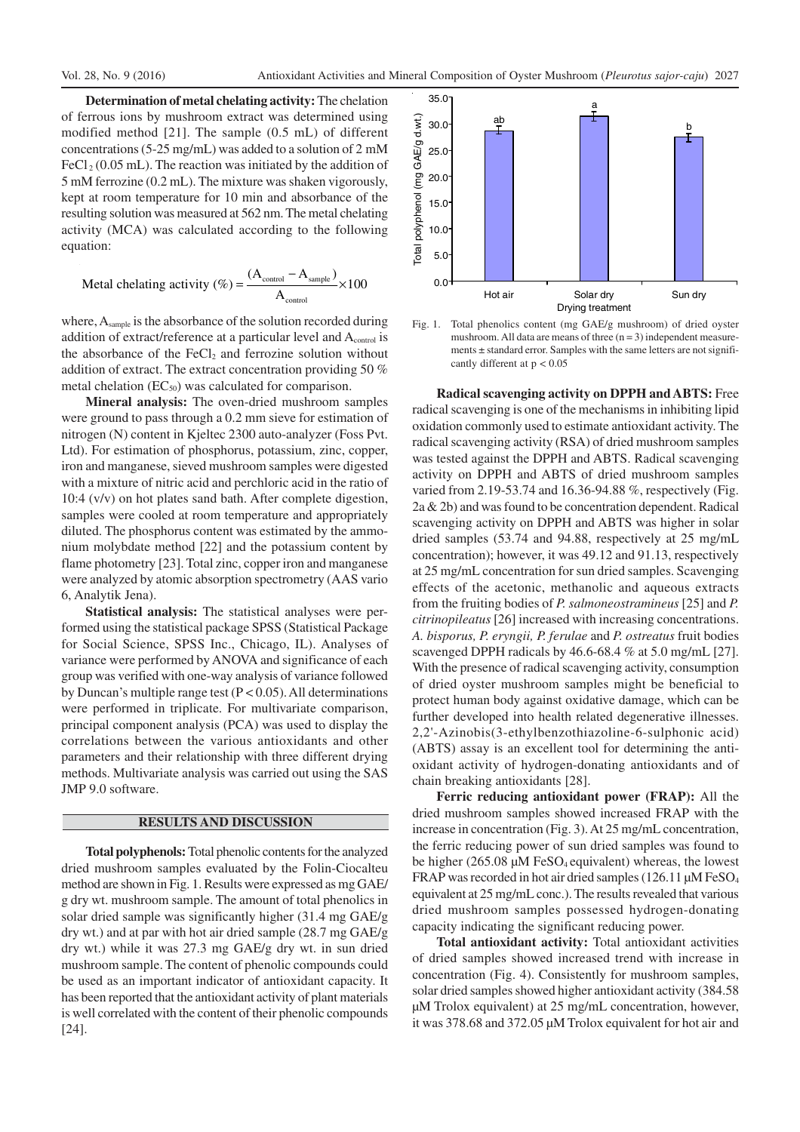**Determination of metal chelating activity:** The chelation of ferrous ions by mushroom extract was determined using modified method [21]. The sample (0.5 mL) of different concentrations (5-25 mg/mL) was added to a solution of 2 mM  $FeCl<sub>2</sub> (0.05 mL)$ . The reaction was initiated by the addition of 5 mM ferrozine (0.2 mL). The mixture was shaken vigorously, kept at room temperature for 10 min and absorbance of the resulting solution was measured at 562 nm. The metal chelating activity (MCA) was calculated according to the following equation:

$$
\text{MetaI chelating activity } (\%) = \frac{(A_{\text{control}} - A_{\text{sample}})}{A_{\text{control}}} \times 100
$$

where,  $A_{\text{sample}}$  is the absorbance of the solution recorded during addition of extract/reference at a particular level and A<sub>control</sub> is the absorbance of the  $FeCl<sub>2</sub>$  and ferrozine solution without addition of extract. The extract concentration providing 50 % metal chelation  $(EC_{50})$  was calculated for comparison.

**Mineral analysis:** The oven-dried mushroom samples were ground to pass through a 0.2 mm sieve for estimation of nitrogen (N) content in Kjeltec 2300 auto-analyzer (Foss Pvt. Ltd). For estimation of phosphorus, potassium, zinc, copper, iron and manganese, sieved mushroom samples were digested with a mixture of nitric acid and perchloric acid in the ratio of 10:4 (v/v) on hot plates sand bath. After complete digestion, samples were cooled at room temperature and appropriately diluted. The phosphorus content was estimated by the ammonium molybdate method [22] and the potassium content by flame photometry [23]. Total zinc, copper iron and manganese were analyzed by atomic absorption spectrometry (AAS vario 6, Analytik Jena).

**Statistical analysis:** The statistical analyses were performed using the statistical package SPSS (Statistical Package for Social Science, SPSS Inc., Chicago, IL). Analyses of variance were performed by ANOVA and significance of each group was verified with one-way analysis of variance followed by Duncan's multiple range test  $(P < 0.05)$ . All determinations were performed in triplicate. For multivariate comparison, principal component analysis (PCA) was used to display the correlations between the various antioxidants and other parameters and their relationship with three different drying methods. Multivariate analysis was carried out using the SAS JMP 9.0 software.

#### **RESULTS AND DISCUSSION**

**Total polyphenols:** Total phenolic contents for the analyzed dried mushroom samples evaluated by the Folin-Ciocalteu method are shown in Fig. 1. Results were expressed as mg GAE/ g dry wt. mushroom sample. The amount of total phenolics in solar dried sample was significantly higher (31.4 mg GAE/g dry wt.) and at par with hot air dried sample (28.7 mg GAE/g dry wt.) while it was 27.3 mg GAE/g dry wt. in sun dried mushroom sample. The content of phenolic compounds could be used as an important indicator of antioxidant capacity. It has been reported that the antioxidant activity of plant materials is well correlated with the content of their phenolic compounds [24].



Fig. 1. Total phenolics content (mg GAE/g mushroom) of dried oyster mushroom. All data are means of three  $(n = 3)$  independent measurements  $\pm$  standard error. Samples with the same letters are not significantly different at p < 0.05

**Radical scavenging activity on DPPH and ABTS:** Free radical scavenging is one of the mechanisms in inhibiting lipid oxidation commonly used to estimate antioxidant activity. The radical scavenging activity (RSA) of dried mushroom samples was tested against the DPPH and ABTS. Radical scavenging activity on DPPH and ABTS of dried mushroom samples varied from 2.19-53.74 and 16.36-94.88 %, respectively (Fig. 2a & 2b) and was found to be concentration dependent. Radical scavenging activity on DPPH and ABTS was higher in solar dried samples (53.74 and 94.88, respectively at 25 mg/mL concentration); however, it was 49.12 and 91.13, respectively at 25 mg/mL concentration for sun dried samples. Scavenging effects of the acetonic, methanolic and aqueous extracts from the fruiting bodies of *P. salmoneostramineus* [25] and *P. citrinopileatus* [26] increased with increasing concentrations. *A. bisporus, P. eryngii, P. ferulae* and *P. ostreatus* fruit bodies scavenged DPPH radicals by 46.6-68.4 % at 5.0 mg/mL [27]. With the presence of radical scavenging activity, consumption of dried oyster mushroom samples might be beneficial to protect human body against oxidative damage, which can be further developed into health related degenerative illnesses. 2,2'-Azinobis(3-ethylbenzothiazoline-6-sulphonic acid) (ABTS) assay is an excellent tool for determining the antioxidant activity of hydrogen-donating antioxidants and of chain breaking antioxidants [28].

**Ferric reducing antioxidant power (FRAP):** All the dried mushroom samples showed increased FRAP with the increase in concentration (Fig. 3). At 25 mg/mL concentration, the ferric reducing power of sun dried samples was found to be higher (265.08  $\mu$ M FeSO<sub>4</sub> equivalent) whereas, the lowest FRAP was recorded in hot air dried samples (126.11 µM FeSO<sub>4</sub> equivalent at 25 mg/mL conc.). The results revealed that various dried mushroom samples possessed hydrogen-donating capacity indicating the significant reducing power.

**Total antioxidant activity:** Total antioxidant activities of dried samples showed increased trend with increase in concentration (Fig. 4). Consistently for mushroom samples, solar dried samples showed higher antioxidant activity (384.58 µM Trolox equivalent) at 25 mg/mL concentration, however, it was 378.68 and 372.05 µM Trolox equivalent for hot air and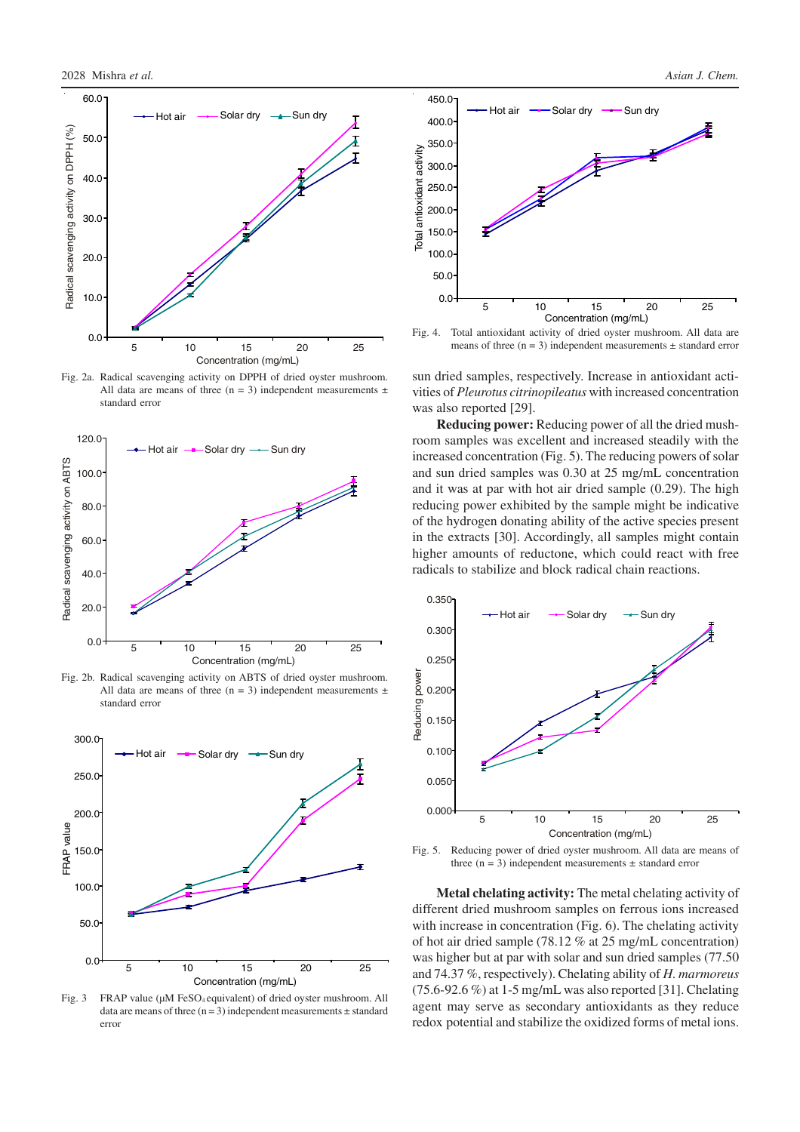

Fig. 2a. Radical scavenging activity on DPPH of dried oyster mushroom. All data are means of three (n = 3) independent measurements  $\pm$ standard error



Fig. 2b. Radical scavenging activity on ABTS of dried oyster mushroom. All data are means of three (n = 3) independent measurements  $\pm$ standard error



Fig. 3 FRAP value ( $\mu$ M FeSO<sub>4</sub> equivalent) of dried oyster mushroom. All data are means of three  $(n=3)$  independent measurements  $\pm$  standard error



Fig. 4. Total antioxidant activity of dried oyster mushroom. All data are means of three  $(n = 3)$  independent measurements  $\pm$  standard error

sun dried samples, respectively. Increase in antioxidant activities of *Pleurotus citrinopileatus* with increased concentration was also reported [29].

**Reducing power:** Reducing power of all the dried mushroom samples was excellent and increased steadily with the increased concentration (Fig. 5). The reducing powers of solar and sun dried samples was 0.30 at 25 mg/mL concentration and it was at par with hot air dried sample (0.29). The high reducing power exhibited by the sample might be indicative of the hydrogen donating ability of the active species present in the extracts [30]. Accordingly, all samples might contain higher amounts of reductone, which could react with free radicals to stabilize and block radical chain reactions.



Fig. 5. Reducing power of dried oyster mushroom. All data are means of three  $(n = 3)$  independent measurements  $\pm$  standard error

**Metal chelating activity:** The metal chelating activity of different dried mushroom samples on ferrous ions increased with increase in concentration (Fig. 6). The chelating activity of hot air dried sample (78.12 % at 25 mg/mL concentration) was higher but at par with solar and sun dried samples (77.50 and 74.37 %, respectively). Chelating ability of *H. marmoreus* (75.6-92.6 %) at 1-5 mg/mL was also reported [31]. Chelating agent may serve as secondary antioxidants as they reduce redox potential and stabilize the oxidized forms of metal ions.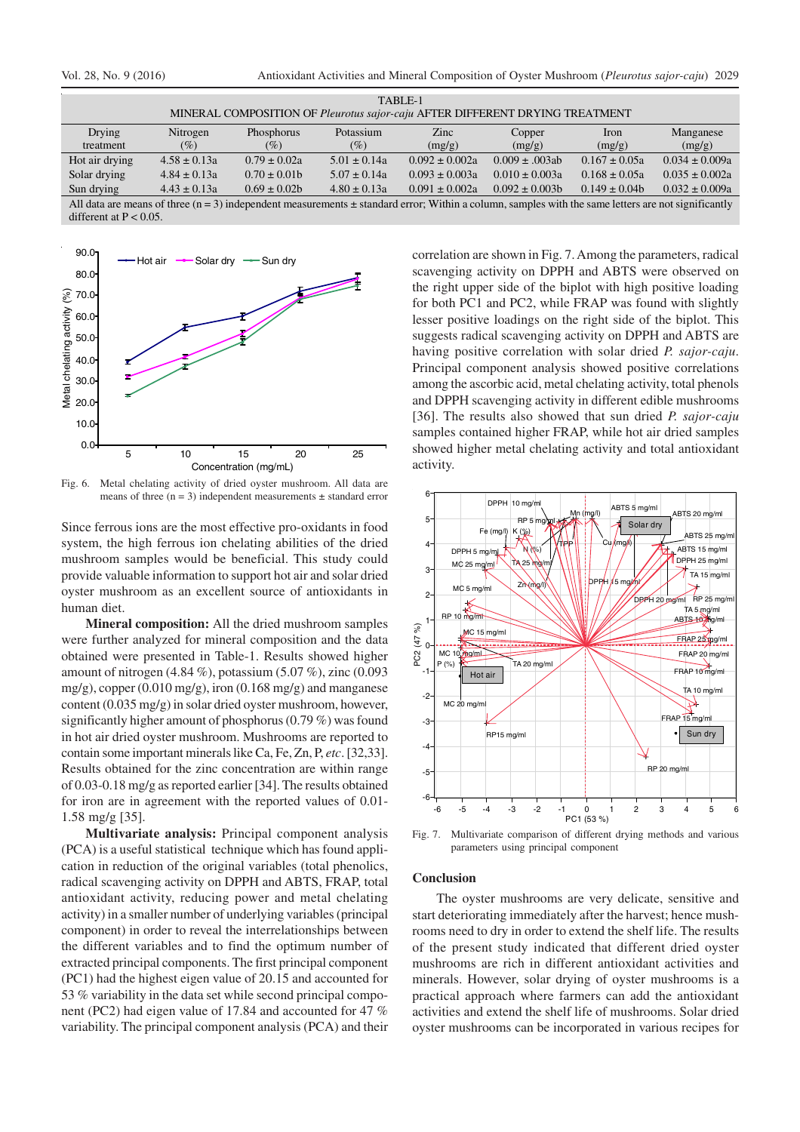| TABLE-1                                                                                                                                                   |                  |                   |                  |                    |                     |                   |                    |  |  |
|-----------------------------------------------------------------------------------------------------------------------------------------------------------|------------------|-------------------|------------------|--------------------|---------------------|-------------------|--------------------|--|--|
| MINERAL COMPOSITION OF Pleurotus sajor-caju AFTER DIFFERENT DRYING TREATMENT                                                                              |                  |                   |                  |                    |                     |                   |                    |  |  |
| Drying                                                                                                                                                    | Nitrogen         | Phosphorus        | Potassium        | <b>Zinc</b>        | Copper              | <b>Iron</b>       | Manganese          |  |  |
| treatment                                                                                                                                                 | $(\%)$           | (%)               | (%)              | (mg/g)             | (mg/g)              | (mg/g)            | (mg/g)             |  |  |
| Hot air drying                                                                                                                                            | $4.58 \pm 0.13a$ | $0.79 \pm 0.02a$  | $5.01 \pm 0.14a$ | $0.092 \pm 0.002a$ | $0.009 \pm .003$ ab | $0.167 \pm 0.05a$ | $0.034 \pm 0.009a$ |  |  |
| Solar drying                                                                                                                                              | $4.84 \pm 0.13a$ | $0.70 \pm 0.01$ b | $5.07 \pm 0.14a$ | $0.093 \pm 0.003a$ | $0.010 \pm 0.003a$  | $0.168 \pm 0.05a$ | $0.035 \pm 0.002a$ |  |  |
| Sun drying                                                                                                                                                | $4.43 \pm 0.13a$ | $0.69 \pm 0.02b$  | $4.80 \pm 0.13a$ | $0.091 \pm 0.002a$ | $0.092 \pm 0.003$ h | $0.149 \pm 0.04b$ | $0.032 \pm 0.009a$ |  |  |
| All data are means of three $(n = 3)$ independent measurements $\pm$ standard error; Within a column, samples with the same letters are not significantly |                  |                   |                  |                    |                     |                   |                    |  |  |

different at  $P < 0.05$ .



Fig. 6. Metal chelating activity of dried oyster mushroom. All data are means of three  $(n = 3)$  independent measurements  $\pm$  standard error

Since ferrous ions are the most effective pro-oxidants in food system, the high ferrous ion chelating abilities of the dried mushroom samples would be beneficial. This study could provide valuable information to support hot air and solar dried oyster mushroom as an excellent source of antioxidants in human diet.

**Mineral composition:** All the dried mushroom samples were further analyzed for mineral composition and the data obtained were presented in Table-1. Results showed higher amount of nitrogen (4.84 %), potassium (5.07 %), zinc (0.093 mg/g), copper  $(0.010 \text{ mg/g})$ , iron  $(0.168 \text{ mg/g})$  and manganese content (0.035 mg/g) in solar dried oyster mushroom, however, significantly higher amount of phosphorus (0.79 %) was found in hot air dried oyster mushroom. Mushrooms are reported to contain some important minerals like Ca, Fe, Zn, P, *etc*. [32,33]. Results obtained for the zinc concentration are within range of 0.03-0.18 mg/g as reported earlier [34]. The results obtained for iron are in agreement with the reported values of 0.01- 1.58 mg/g [35].

**Multivariate analysis:** Principal component analysis (PCA) is a useful statistical technique which has found application in reduction of the original variables (total phenolics, radical scavenging activity on DPPH and ABTS, FRAP, total antioxidant activity, reducing power and metal chelating activity) in a smaller number of underlying variables (principal component) in order to reveal the interrelationships between the different variables and to find the optimum number of extracted principal components. The first principal component (PC1) had the highest eigen value of 20.15 and accounted for 53 % variability in the data set while second principal component (PC2) had eigen value of 17.84 and accounted for 47 % variability. The principal component analysis (PCA) and their correlation are shown in Fig. 7. Among the parameters, radical scavenging activity on DPPH and ABTS were observed on the right upper side of the biplot with high positive loading for both PC1 and PC2, while FRAP was found with slightly lesser positive loadings on the right side of the biplot. This suggests radical scavenging activity on DPPH and ABTS are having positive correlation with solar dried *P. sajor-caju*. Principal component analysis showed positive correlations among the ascorbic acid, metal chelating activity, total phenols and DPPH scavenging activity in different edible mushrooms [36]. The results also showed that sun dried *P. sajor-caju* samples contained higher FRAP, while hot air dried samples showed higher metal chelating activity and total antioxidant activity.



Fig. 7. Multivariate comparison of different drying methods and various parameters using principal component

## **Conclusion**

The oyster mushrooms are very delicate, sensitive and start deteriorating immediately after the harvest; hence mushrooms need to dry in order to extend the shelf life. The results of the present study indicated that different dried oyster mushrooms are rich in different antioxidant activities and minerals. However, solar drying of oyster mushrooms is a practical approach where farmers can add the antioxidant activities and extend the shelf life of mushrooms. Solar dried oyster mushrooms can be incorporated in various recipes for